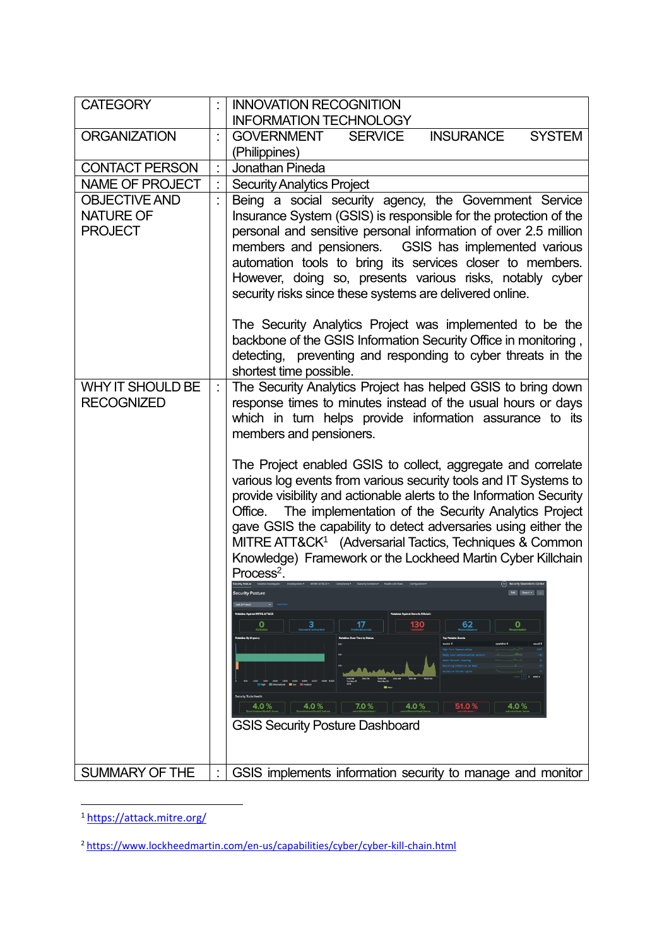| <b>CATEGORY</b>                                            | <b>INNOVATION RECOGNITION</b>                                                                                                                                                                                                                                                                                                                                                                                                                                                                                                                                                                                                                |
|------------------------------------------------------------|----------------------------------------------------------------------------------------------------------------------------------------------------------------------------------------------------------------------------------------------------------------------------------------------------------------------------------------------------------------------------------------------------------------------------------------------------------------------------------------------------------------------------------------------------------------------------------------------------------------------------------------------|
|                                                            | <b>INFORMATION TECHNOLOGY</b>                                                                                                                                                                                                                                                                                                                                                                                                                                                                                                                                                                                                                |
| <b>ORGANIZATION</b>                                        | <b>INSURANCE</b><br><b>SYSTEM</b><br><b>GOVERNMENT</b><br><b>SERVICE</b>                                                                                                                                                                                                                                                                                                                                                                                                                                                                                                                                                                     |
|                                                            | (Philippines)                                                                                                                                                                                                                                                                                                                                                                                                                                                                                                                                                                                                                                |
| <b>CONTACT PERSON</b>                                      | Jonathan Pineda                                                                                                                                                                                                                                                                                                                                                                                                                                                                                                                                                                                                                              |
| <b>NAME OF PROJECT</b>                                     | <b>Security Analytics Project</b>                                                                                                                                                                                                                                                                                                                                                                                                                                                                                                                                                                                                            |
| <b>OBJECTIVE AND</b><br><b>NATURE OF</b><br><b>PROJECT</b> | Being a social security agency, the Government Service<br>Insurance System (GSIS) is responsible for the protection of the<br>personal and sensitive personal information of over 2.5 million<br>members and pensioners. GSIS has implemented various<br>automation tools to bring its services closer to members.<br>However, doing so, presents various risks, notably cyber<br>security risks since these systems are delivered online.<br>The Security Analytics Project was implemented to be the<br>backbone of the GSIS Information Security Office in monitoring,                                                                    |
|                                                            | detecting, preventing and responding to cyber threats in the<br>shortest time possible.                                                                                                                                                                                                                                                                                                                                                                                                                                                                                                                                                      |
| <b>WHY IT SHOULD BE</b><br><b>RECOGNIZED</b>               | The Security Analytics Project has helped GSIS to bring down<br>response times to minutes instead of the usual hours or days<br>which in turn helps provide information assurance to its<br>members and pensioners.<br>The Project enabled GSIS to collect, aggregate and correlate<br>various log events from various security tools and IT Systems to<br>provide visibility and actionable alerts to the Information Security<br>The implementation of the Security Analytics Project<br>Office.<br>gave GSIS the capability to detect adversaries using either the<br>MITRE ATT&CK <sup>1</sup> (Adversarial Tactics, Techniques & Common |
|                                                            | Knowledge) Framework or the Lockheed Martin Cyber Killchain<br>$Process2$ .<br>Security Posture<br>130<br>Ο<br>62<br>51.0%<br>7.0%<br>4.0 %<br>4.0%<br>4.0 %<br>4.O<br><b>GSIS Security Posture Dashboard</b>                                                                                                                                                                                                                                                                                                                                                                                                                                |
| SUMMARY OF THE                                             | GSIS implements information security to manage and monitor                                                                                                                                                                                                                                                                                                                                                                                                                                                                                                                                                                                   |

 $\overline{\phantom{a}}$ 1 <https://attack.mitre.org/>

<sup>2</sup> <https://www.lockheedmartin.com/en-us/capabilities/cyber/cyber-kill-chain.html>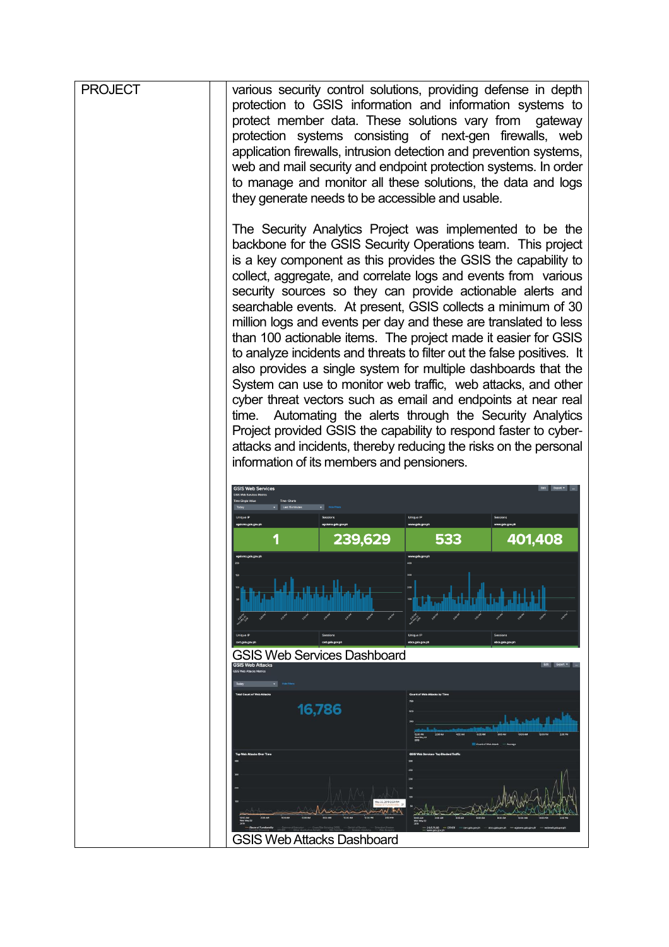| <b>PROJECT</b> | various security control solutions, providing defense in depth<br>protection to GSIS information and information systems to<br>protect member data. These solutions vary from gateway<br>protection systems consisting of next-gen firewalls, web<br>application firewalls, intrusion detection and prevention systems,<br>web and mail security and endpoint protection systems. In order<br>to manage and monitor all these solutions, the data and logs<br>they generate needs to be accessible and usable.                                                                                                                                                                                                                                                                                                                                                                                                                                                                                                                                                         |
|----------------|------------------------------------------------------------------------------------------------------------------------------------------------------------------------------------------------------------------------------------------------------------------------------------------------------------------------------------------------------------------------------------------------------------------------------------------------------------------------------------------------------------------------------------------------------------------------------------------------------------------------------------------------------------------------------------------------------------------------------------------------------------------------------------------------------------------------------------------------------------------------------------------------------------------------------------------------------------------------------------------------------------------------------------------------------------------------|
|                | The Security Analytics Project was implemented to be the<br>backbone for the GSIS Security Operations team. This project<br>is a key component as this provides the GSIS the capability to<br>collect, aggregate, and correlate logs and events from various<br>security sources so they can provide actionable alerts and<br>searchable events. At present, GSIS collects a minimum of 30<br>million logs and events per day and these are translated to less<br>than 100 actionable items. The project made it easier for GSIS<br>to analyze incidents and threats to filter out the false positives. It<br>also provides a single system for multiple dashboards that the<br>System can use to monitor web traffic, web attacks, and other<br>cyber threat vectors such as email and endpoints at near real<br>Automating the alerts through the Security Analytics<br>time.<br>Project provided GSIS the capability to respond faster to cyber-<br>attacks and incidents, thereby reducing the risks on the personal<br>information of its members and pensioners. |
|                |                                                                                                                                                                                                                                                                                                                                                                                                                                                                                                                                                                                                                                                                                                                                                                                                                                                                                                                                                                                                                                                                        |
|                | 239,629<br>533<br>401,408                                                                                                                                                                                                                                                                                                                                                                                                                                                                                                                                                                                                                                                                                                                                                                                                                                                                                                                                                                                                                                              |
|                |                                                                                                                                                                                                                                                                                                                                                                                                                                                                                                                                                                                                                                                                                                                                                                                                                                                                                                                                                                                                                                                                        |
|                | <b>GSIS Web Services Dashboard</b>                                                                                                                                                                                                                                                                                                                                                                                                                                                                                                                                                                                                                                                                                                                                                                                                                                                                                                                                                                                                                                     |
|                |                                                                                                                                                                                                                                                                                                                                                                                                                                                                                                                                                                                                                                                                                                                                                                                                                                                                                                                                                                                                                                                                        |
|                | 16,786                                                                                                                                                                                                                                                                                                                                                                                                                                                                                                                                                                                                                                                                                                                                                                                                                                                                                                                                                                                                                                                                 |
|                | <b>GSIS Web Attacks Dashboard</b>                                                                                                                                                                                                                                                                                                                                                                                                                                                                                                                                                                                                                                                                                                                                                                                                                                                                                                                                                                                                                                      |